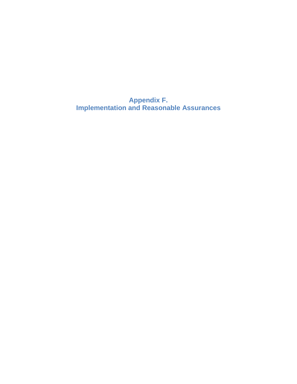**Appendix F. Implementation and Reasonable Assurances**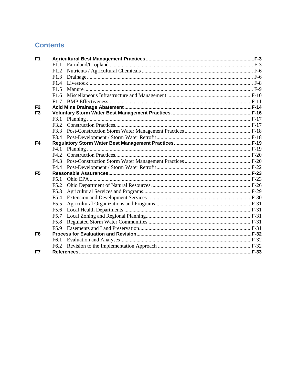# **Contents**

| F <sub>1</sub> |                  |  |  |  |  |
|----------------|------------------|--|--|--|--|
|                | F1.1             |  |  |  |  |
|                | F1.2             |  |  |  |  |
|                | F1.3             |  |  |  |  |
|                | F1.4             |  |  |  |  |
|                | F1.5             |  |  |  |  |
|                | F1.6             |  |  |  |  |
|                | F17              |  |  |  |  |
| F <sub>2</sub> |                  |  |  |  |  |
| F <sub>3</sub> |                  |  |  |  |  |
|                | F3.1             |  |  |  |  |
|                | F3.2             |  |  |  |  |
|                | F3.3             |  |  |  |  |
|                | F3.4             |  |  |  |  |
| F <sub>4</sub> |                  |  |  |  |  |
|                | F4.1             |  |  |  |  |
|                | F4.2             |  |  |  |  |
|                | F4.3             |  |  |  |  |
|                | F4.4             |  |  |  |  |
| F <sub>5</sub> |                  |  |  |  |  |
|                | F5.1             |  |  |  |  |
|                | F5.2             |  |  |  |  |
|                | F <sub>5.3</sub> |  |  |  |  |
|                | F <sub>5.4</sub> |  |  |  |  |
|                | F5.5             |  |  |  |  |
|                | F <sub>5.6</sub> |  |  |  |  |
|                | F <sub>5.7</sub> |  |  |  |  |
|                | F <sub>5.8</sub> |  |  |  |  |
|                | F59              |  |  |  |  |
| F <sub>6</sub> |                  |  |  |  |  |
|                | F <sub>6.1</sub> |  |  |  |  |
|                | F <sub>6.2</sub> |  |  |  |  |
| F7             |                  |  |  |  |  |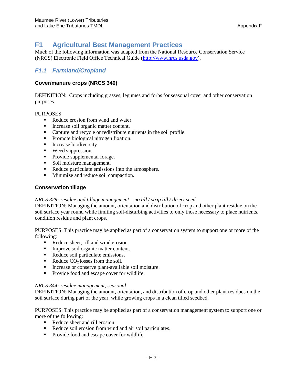# <span id="page-2-0"></span>**F1 Agricultural Best Management Practices**

Much of the following information was adapted from the National Resource Conservation Service (NRCS) Electronic Field Office Technical Guide [\(http://www.nrcs.usda.gov\)](http://www.nrcs.usda.gov/).

# <span id="page-2-1"></span>*F1.1 Farmland/Cropland*

### **Cover/manure crops (NRCS 340)**

DEFINITION: Crops including grasses, legumes and forbs for seasonal cover and other conservation purposes.

### PURPOSES

- Reduce erosion from wind and water.
- Increase soil organic matter content.
- Capture and recycle or redistribute nutrients in the soil profile.
- Promote biological nitrogen fixation.
- **Increase biodiversity.**
- Weed suppression.
- Provide supplemental forage.
- Soil moisture management.
- Reduce particulate emissions into the atmosphere.
- **Minimize and reduce soil compaction.**

### **Conservation tillage**

### *NRCS 329: residue and tillage management – no till / strip till / direct seed*

DEFINITION: Managing the amount, orientation and distribution of crop and other plant residue on the soil surface year round while limiting soil-disturbing activities to only those necessary to place nutrients, condition residue and plant crops.

PURPOSES: This practice may be applied as part of a conservation system to support one or more of the following:

- Reduce sheet, rill and wind erosion.
- Improve soil organic matter content.
- Reduce soil particulate emissions.
- Reduce  $CO<sub>2</sub>$  losses from the soil.
- Increase or conserve plant-available soil moisture.
- Provide food and escape cover for wildlife.

### *NRCS 344: residue management, seasonal*

DEFINITION: Managing the amount, orientation, and distribution of crop and other plant residues on the soil surface during part of the year, while growing crops in a clean tilled seedbed.

PURPOSES: This practice may be applied as part of a conservation management system to support one or more of the following:

- Reduce sheet and rill erosion.
- Reduce soil erosion from wind and air soil particulates.
- Provide food and escape cover for wildlife.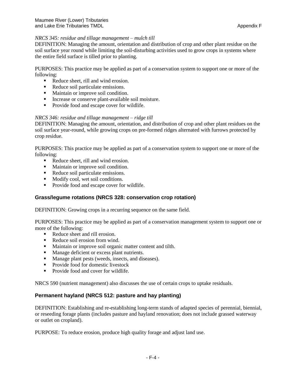## *NRCS 345: residue and tillage management – mulch till*

DEFINITION: Managing the amount, orientation and distribution of crop and other plant residue on the soil surface year round while limiting the soil-disturbing activities used to grow crops in systems where the entire field surface is tilled prior to planting.

PURPOSES: This practice may be applied as part of a conservation system to support one or more of the following:

- Reduce sheet, rill and wind erosion.
- Reduce soil particulate emissions.
- Maintain or improve soil condition.
- Increase or conserve plant-available soil moisture.
- Provide food and escape cover for wildlife.

### *NRCS 346: residue and tillage management – ridge till*

DEFINITION: Managing the amount, orientation, and distribution of crop and other plant residues on the soil surface year-round, while growing crops on pre-formed ridges alternated with furrows protected by crop residue.

PURPOSES: This practice may be applied as part of a conservation system to support one or more of the following:

- Reduce sheet, rill and wind erosion.
- Maintain or improve soil condition.
- Reduce soil particulate emissions.
- Modify cool, wet soil conditions.
- Provide food and escape cover for wildlife.

## **Grass/legume rotations (NRCS 328: conservation crop rotation)**

DEFINITION: Growing crops in a recurring sequence on the same field.

PURPOSES: This practice may be applied as part of a conservation management system to support one or more of the following:

- Reduce sheet and rill erosion.
- Reduce soil erosion from wind.
- Maintain or improve soil organic matter content and tilth.
- **Manage deficient or excess plant nutrients.**
- Manage plant pests (weeds, insects, and diseases).
- **Provide food for domestic livestock**
- Provide food and cover for wildlife.

NRCS 590 (nutrient management) also discusses the use of certain crops to uptake residuals.

## **Permanent hayland (NRCS 512: pasture and hay planting)**

DEFINITION: Establishing and re-establishing long-term stands of adapted species of perennial, biennial, or reseeding forage plants (includes pasture and hayland renovation; does not include grassed waterway or outlet on cropland).

PURPOSE: To reduce erosion, produce high quality forage and adjust land use.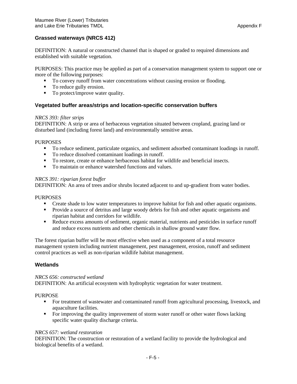## **Grassed waterways (NRCS 412)**

DEFINITION: A natural or constructed channel that is shaped or graded to required dimensions and established with suitable vegetation.

PURPOSES: This practice may be applied as part of a conservation management system to support one or more of the following purposes:

- To convey runoff from water concentrations without causing erosion or flooding.
- To reduce gully erosion.
- To protect/improve water quality.

## **Vegetated buffer areas/strips and location-specific conservation buffers**

#### *NRCS 393: filter strips*

DEFINITION: A strip or area of herbaceous vegetation situated between cropland, grazing land or disturbed land (including forest land) and environmentally sensitive areas.

#### PURPOSES

- To reduce sediment, particulate organics, and sediment adsorbed contaminant loadings in runoff.
- To reduce dissolved contaminant loadings in runoff.
- To restore, create or enhance herbaceous habitat for wildlife and beneficial insects.
- To maintain or enhance watershed functions and values.

### *NRCS 391: riparian forest buffer*

DEFINITION: An area of trees and/or shrubs located adjacent to and up-gradient from water bodies.

### PURPOSES

- **•** Create shade to low water temperatures to improve habitat for fish and other aquatic organisms.
- **Provide a source of detritus and large woody debris for fish and other aquatic organisms and** riparian habitat and corridors for wildlife.
- Reduce excess amounts of sediment, organic material, nutrients and pesticides in surface runoff and reduce excess nutrients and other chemicals in shallow ground water flow.

The forest riparian buffer will be most effective when used as a component of a total resource management system including nutrient management, pest management, erosion, runoff and sediment control practices as well as non-riparian wildlife habitat management.

### **Wetlands**

### *NRCS 656: constructed wetland*

DEFINITION: An artificial ecosystem with hydrophytic vegetation for water treatment.

### PURPOSE

- For treatment of wastewater and contaminated runoff from agricultural processing, livestock, and aquaculture facilities.
- For improving the quality improvement of storm water runoff or other water flows lacking specific water quality discharge criteria.

### *NRCS 657: wetland restoration*

DEFINITION: The construction or restoration of a wetland facility to provide the hydrological and biological benefits of a wetland.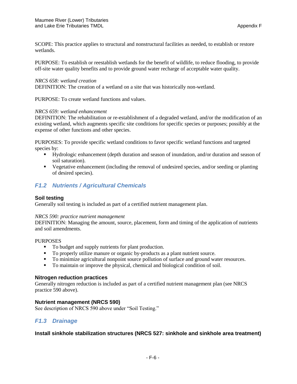SCOPE: This practice applies to structural and nonstructural facilities as needed, to establish or restore wetlands.

PURPOSE: To establish or reestablish wetlands for the benefit of wildlife, to reduce flooding, to provide off-site water quality benefits and to provide ground water recharge of acceptable water quality.

#### *NRCS 658: wetland creation*

DEFINITION: The creation of a wetland on a site that was historically non-wetland.

PURPOSE: To create wetland functions and values.

#### *NRCS 659: wetland enhancement*

DEFINITION: The rehabilitation or re-establishment of a degraded wetland, and/or the modification of an existing wetland, which augments specific site conditions for specific species or purposes; possibly at the expense of other functions and other species.

PURPOSES: To provide specific wetland conditions to favor specific wetland functions and targeted species by:

- Hydrologic enhancement (depth duration and season of inundation, and/or duration and season of soil saturation).
- Vegetative enhancement (including the removal of undesired species, and/or seeding or planting of desired species).

# <span id="page-5-0"></span>*F1.2 Nutrients / Agricultural Chemicals*

### **Soil testing**

Generally soil testing is included as part of a certified nutrient management plan.

#### *NRCS 590: practice nutrient management*

DEFINITION: Managing the amount, source, placement, form and timing of the application of nutrients and soil amendments.

#### PURPOSES

- To budget and supply nutrients for plant production.
- To properly utilize manure or organic by-products as a plant nutrient source.
- To minimize agricultural nonpoint source pollution of surface and ground water resources.
- To maintain or improve the physical, chemical and biological condition of soil.

### **Nitrogen reduction practices**

Generally nitrogen reduction is included as part of a certified nutrient management plan (see NRCS practice 590 above).

### **Nutrient management (NRCS 590)**

See description of NRCS 590 above under "Soil Testing."

## <span id="page-5-1"></span>*F1.3 Drainage*

## **Install sinkhole stabilization structures (NRCS 527: sinkhole and sinkhole area treatment)**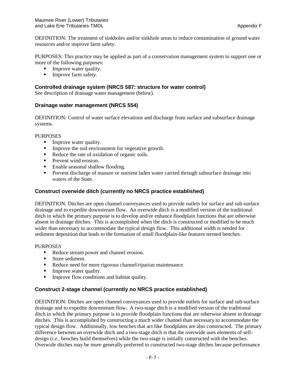DEFINITION: The treatment of sinkholes and/or sinkhole areas to reduce contamination of ground water resources and/or improve farm safety.

PURPOSES: This practice may be applied as part of a conservation management system to support one or more of the following purposes:

- **Improve water quality.**
- Improve farm safety.

### **Controlled drainage system (NRCS 587: structure for water control)**

See description of drainage water management (below).

### **Drainage water management (NRCS 554)**

DEFINITION: Control of water surface elevations and discharge from surface and subsurface drainage systems.

#### PURPOSES

- **IMPROVE WATER QUALITY.**
- Improve the soil environment for vegetative growth.
- Reduce the rate of oxidation of organic soils.
- **•** Prevent wind erosion.
- Enable seasonal shallow flooding.
- Prevent discharge of manure or nutrient laden water carried through subsurface drainage into waters of the State.

### **Construct overwide ditch (currently no NRCS practice established)**

DEFINITION: Ditches are open channel conveyances used to provide outlets for surface and sub-surface drainage and to expedite downstream flow. An overwide ditch is a modified version of the traditional ditch in which the primary purpose is to develop and/or enhance floodplain functions that are otherwise absent in drainage ditches. This is accomplished when the ditch is constructed or modified to be much wider than necessary to accommodate the typical design flow. This additional width is needed for sediment deposition that leads to the formation of small floodplain-like features termed benches.

#### PURPOSES

- Reduce stream power and channel erosion.
- Store sediment.
- Reduce need for more rigorous channel/riparian maintenance.
- Improve water quality.
- **IMPROVE FLOW CONDUCTS** and habitat quality.

### **Construct 2-stage channel (currently no NRCS practice established)**

DEFINITION: Ditches are open channel conveyances used to provide outlets for surface and sub-surface drainage and to expedite downstream flow. A two-stage ditch is a modified version of the traditional ditch in which the primary purpose is to provide floodplain functions that are otherwise absent in drainage ditches. This is accomplished by constructing a much wider channel than necessary to accommodate the typical design flow. Additionally, low benches that act like floodplains are also constructed. The primary difference between an overwide ditch and a two-stage ditch is that the overwide uses elements of selfdesign (*i.e.*, benches build themselves) while the two-stage is initially constructed with the benches. Overwide ditches may be more generally preferred to constructed two-stage ditches because performance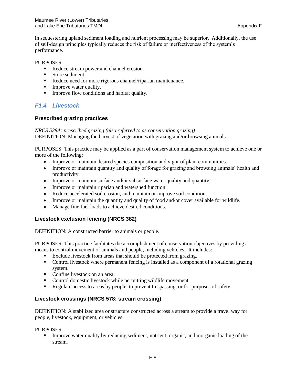in sequestering upland sediment loading and nutrient processing may be superior. Additionally, the use of self-design principles typically reduces the risk of failure or ineffectiveness of the system's performance.

#### **PURPOSES**

- Reduce stream power and channel erosion.
- Store sediment.
- Reduce need for more rigorous channel/riparian maintenance.
- **Improve water quality.**
- **IMPROVE FLOW CONDUCTS** and habitat quality.

# <span id="page-7-0"></span>*F1.4 Livestock*

### **Prescribed grazing practices**

*NRCS 528A: prescribed grazing (also referred to as conservation grazing)*

DEFINITION: Managing the harvest of vegetation with grazing and/or browsing animals.

PURPOSES: This practice may be applied as a part of conservation management system to achieve one or more of the following:

- Improve or maintain desired species composition and vigor of plant communities.
- Improve or maintain quantity and quality of forage for grazing and browsing animals' health and productivity.
- Improve or maintain surface and/or subsurface water quality and quantity.
- Improve or maintain riparian and watershed function.
- Reduce accelerated soil erosion, and maintain or improve soil condition.
- Improve or maintain the quantity and quality of food and/or cover available for wildlife.
- $\bullet$ Manage fine fuel loads to achieve desired conditions.

## **Livestock exclusion fencing (NRCS 382)**

DEFINITION: A constructed barrier to animals or people.

PURPOSES: This practice facilitates the accomplishment of conservation objectives by providing a means to control movement of animals and people, including vehicles. It includes:

- Exclude livestock from areas that should be protected from grazing.
- Control livestock where permanent fencing is installed as a component of a rotational grazing system.
- Confine livestock on an area.
- Control domestic livestock while permitting wildlife movement.
- Regulate access to areas by people, to prevent trespassing, or for purposes of safety.

## **Livestock crossings (NRCS 578: stream crossing)**

DEFINITION: A stabilized area or structure constructed across a stream to provide a travel way for people, livestock, equipment, or vehicles.

### **PURPOSES**

**Improve water quality by reducing sediment, nutrient, organic, and inorganic loading of the** stream.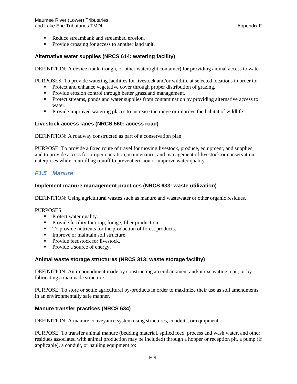- Reduce streambank and streambed erosion.
- Provide crossing for access to another land unit.

## **Alternative water supplies (NRCS 614: watering facility)**

DEFINITION: A device (tank, trough, or other watertight container) for providing animal access to water.

PURPOSES: To provide watering facilities for livestock and/or wildlife at selected locations in order to:

- Protect and enhance vegetative cover through proper distribution of grazing.
- Provide erosion control through better grassland management.
- Protect streams, ponds and water supplies from contamination by providing alternative access to water.
- **Provide improved watering places to increase the range or improve the habitat of wildlife.**

## **Livestock access lanes (NRCS 560: access road)**

DEFINITION: A roadway constructed as part of a conservation plan.

PURPOSE: To provide a fixed route of travel for moving livestock, produce, equipment, and supplies; and to provide access for proper operation, maintenance, and management of livestock or conservation enterprises while controlling runoff to prevent erosion or improve water quality.

# <span id="page-8-0"></span>*F1.5 Manure*

## **Implement manure management practices (NRCS 633: waste utilization)**

DEFINITION: Using agricultural wastes such as manure and wastewater or other organic residues.

### PURPOSES

- Protect water quality.
- Provide fertility for crop, forage, fiber production.
- To provide nutrients for the production of forest products.
- Improve or maintain soil structure.
- Provide feedstock for livestock.
- Provide a source of energy.

## **Animal waste storage structures (NRCS 313: waste storage facility)**

DEFINITION: An impoundment made by constructing an embankment and/or excavating a pit, or by fabricating a manmade structure.

PURPOSE: To store or settle agricultural by-products in order to maximize their use as soil amendments in an environmentally safe manner.

## **Manure transfer practices (NRCS 634)**

DEFINITION: A manure conveyance system using structures, conduits, or equipment.

PURPOSE: To transfer animal manure (bedding material, spilled feed, process and wash water, and other residues associated with animal production may be included) through a hopper or reception pit, a pump (if applicable), a conduit, or hauling equipment to: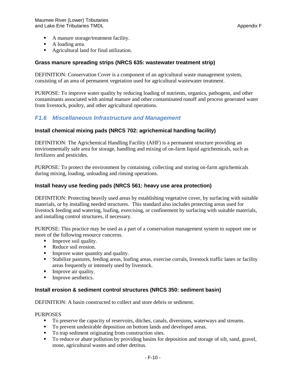- A manure storage/treatment facility.
- A loading area.
- Agricultural land for final utilization.

### **Grass manure spreading strips (NRCS 635: wastewater treatment strip)**

DEFINITION: Conservation Cover is a component of an agricultural waste management system, consisting of an area of permanent vegetation used for agricultural wastewater treatment.

PURPOSE: To improve water quality by reducing loading of nutrients, organics, pathogens, and other contaminants associated with animal manure and other contaminated runoff and process generated water from livestock, poultry, and other agricultural operations.

# <span id="page-9-0"></span>*F1.6 Miscellaneous Infrastructure and Management*

## **Install chemical mixing pads (NRCS 702: agrichemical handling facility)**

DEFINITION: The Agrichemical Handling Facility (AHF) is a permanent structure providing an environmentally safe area for storage, handling and mixing of on-farm liquid agrichemicals, such as fertilizers and pesticides.

PURPOSE: To protect the environment by containing, collecting and storing on-farm agrichemicals during mixing, loading, unloading and rinsing operations.

### **Install heavy use feeding pads (NRCS 561: heavy use area protection)**

DEFINITION: Protecting heavily used areas by establishing vegetative cover, by surfacing with suitable materials, or by installing needed structures. This standard also includes protecting areas used for livestock feeding and watering, loafing, exercising, or confinement by surfacing with suitable materials, and installing control structures, if necessary.

PURPOSE: This practice may be used as a part of a conservation management system to support one or more of the following resource concerns.

- **Improve soil quality.**
- Reduce soil erosion.
- Improve water quantity and quality.
- Stabilize pastures, feeding areas, loafing areas, exercise corrals, livestock traffic lanes or facility areas frequently or intensely used by livestock.
- Improve air quality.
- **Improve aesthetics.**

## **Install erosion & sediment control structures (NRCS 350: sediment basin)**

DEFINITION: A basin constructed to collect and store debris or sediment.

### PURPOSES

- To preserve the capacity of reservoirs, ditches, canals, diversions, waterways and streams.
- To prevent undesirable deposition on bottom lands and developed areas.
- To trap sediment originating from construction sites.
- To reduce or abate pollution by providing basins for deposition and storage of silt, sand, gravel, stone, agricultural wastes and other detritus.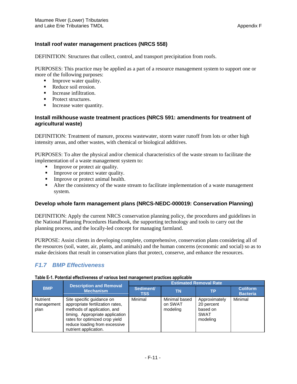## **Install roof water management practices (NRCS 558)**

DEFINITION: Structures that collect, control, and transport precipitation from roofs.

PURPOSES: This practice may be applied as a part of a resource management system to support one or more of the following purposes:

- Improve water quality.
- Reduce soil erosion.
- **Increase infiltration.**
- Protect structures.
- **Increase water quantity.**

### **Install milkhouse waste treatment practices (NRCS 591: amendments for treatment of agricultural waste)**

DEFINITION: Treatment of manure, process wastewater, storm water runoff from lots or other high intensity areas, and other wastes, with chemical or biological additives.

PURPOSES: To alter the physical and/or chemical characteristics of the waste stream to facilitate the implementation of a waste management system to:

- Improve or protect air quality.
- Improve or protect water quality.
- Improve or protect animal health.
- Alter the consistency of the waste stream to facilitate implementation of a waste management system.

## **Develop whole farm management plans (NRCS-NEDC-000019: Conservation Planning)**

DEFINITION: Apply the current NRCS conservation planning policy, the procedures and guidelines in the National Planning Procedures Handbook, the supporting technology and tools to carry out the planning process, and the locally-led concept for managing farmland.

PURPOSE: Assist clients in developing complete, comprehensive, conservation plans considering all of the resources (soil, water, air, plants, and animals) and the human concerns (economic and social) so as to make decisions that result in conservation plans that protect, conserve, and enhance the resources.

# <span id="page-10-0"></span>*F1.7 BMP Effectiveness*

nutrient application.

| Table E-T. Potential effectiveness of various best management practices applicable |                                                                                                                                                                                                    |                               |                                      |                                                                    |                                    |  |  |
|------------------------------------------------------------------------------------|----------------------------------------------------------------------------------------------------------------------------------------------------------------------------------------------------|-------------------------------|--------------------------------------|--------------------------------------------------------------------|------------------------------------|--|--|
|                                                                                    | <b>Description and Removal</b><br><b>Mechanism</b>                                                                                                                                                 | <b>Estimated Removal Rate</b> |                                      |                                                                    |                                    |  |  |
| <b>BMP</b>                                                                         |                                                                                                                                                                                                    | Sediment/<br><b>TSS</b>       | ΤN                                   | ТP                                                                 | <b>Coliform</b><br><b>Bacteria</b> |  |  |
| <b>Nutrient</b><br>management<br>plan                                              | Site specific guidance on<br>appropriate fertilization rates,<br>methods of application, and<br>timing. Appropriate application<br>rates for optimized crop yield<br>reduce loading from excessive | Minimal                       | Minimal based<br>on SWAT<br>modeling | Approximately<br>20 percent<br>based on<br><b>SWAT</b><br>modeling | Minimal                            |  |  |

### **Table E-1. Potential effectiveness of various best management practices applicable**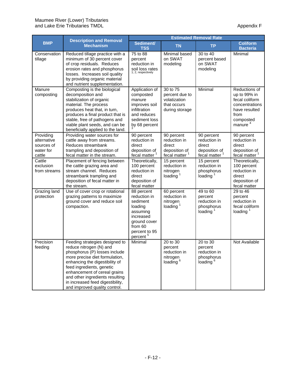|                                                               | <b>Description and Removal</b><br><b>Mechanism</b>                                                                                                                                                                                                                                                                                  | <b>Estimated Removal Rate</b>                                                                                                                  |                                                                                    |                                                                                    |                                                                                                                                |
|---------------------------------------------------------------|-------------------------------------------------------------------------------------------------------------------------------------------------------------------------------------------------------------------------------------------------------------------------------------------------------------------------------------|------------------------------------------------------------------------------------------------------------------------------------------------|------------------------------------------------------------------------------------|------------------------------------------------------------------------------------|--------------------------------------------------------------------------------------------------------------------------------|
| <b>BMP</b>                                                    |                                                                                                                                                                                                                                                                                                                                     | Sediment/<br><b>TSS</b>                                                                                                                        | <b>TN</b>                                                                          | <b>TP</b>                                                                          | <b>Coliform</b><br><b>Bacteria</b>                                                                                             |
| Conservation<br>tillage                                       | Reduced tillage practice with a<br>minimum of 30 percent cover<br>of crop residuals. Reduces<br>erosion rates and phosphorus<br>losses. Increases soil quality<br>by providing organic material<br>and nutrient supplementation.                                                                                                    | 75 to 88<br>percent<br>reduction in<br>Soil loss rates<br>1; 2, respectively                                                                   | Minimal based<br>on SWAT<br>modeling                                               | 30 to 40<br>percent based<br>on SWAT<br>modeling                                   | Minimal                                                                                                                        |
| Manure<br>composting                                          | Composting is the biological<br>decomposition and<br>stabilization of organic<br>material. The process<br>produces heat that, in turn,<br>produces a final product that is<br>stable, free of pathogens and<br>viable plant seeds, and can be<br>beneficially applied to the land.                                                  | Application of<br>composted<br>manure<br>improves soil<br>infiltration<br>and reduces<br>sediment loss<br>by 68 percent                        | 30 to 75<br>percent due to<br>volatization<br>that occurs<br>during storage        | Minimal                                                                            | Reductions of<br>up to 99% in<br>fecal coliform<br>concentrations<br>have resulted<br>from<br>composted<br>manure <sup>4</sup> |
| Providing<br>alternative<br>sources of<br>water for<br>cattle | Providing water sources for<br>cattle away from streams.<br>Reduces streambank<br>trampling and deposition of<br>fecal matter in the stream.                                                                                                                                                                                        | 90 percent<br>reduction in<br>direct<br>deposition of<br>fecal matter <sup>1</sup>                                                             | 90 percent<br>reduction in<br>direct<br>deposition of<br>fecal matter <sup>1</sup> | 90 percent<br>reduction in<br>direct<br>deposition of<br>fecal matter <sup>1</sup> | 90 percent<br>reduction in<br>direct<br>deposition of<br>fecal matter <sup>1</sup>                                             |
| Cattle<br>exclusion<br>from streams                           | Placement of fencing between<br>the cattle grazing area and<br>stream channel. Reduces<br>streambank trampling and<br>deposition of fecal matter in<br>the stream.                                                                                                                                                                  | Theoretically,<br>100 percent<br>reduction in<br>direct<br>deposition of<br>fecal matter                                                       | 15 percent<br>reduction in<br>nitrogen<br>loading $1$                              | 15 percent<br>reduction in<br>phosphorus<br>loading $1$                            | Theoretically,<br>100 percent<br>reduction in<br>direct<br>deposition of<br>fecal matter                                       |
| Grazing land<br>protection                                    | Use of cover crop or rotational<br>grazing patterns to maximize<br>ground cover and reduce soil<br>compaction.                                                                                                                                                                                                                      | 88 percent<br>reduction in<br>sediment<br>loading<br>assuming<br>increased<br>ground cover<br>from 60<br>percent to 95<br>percent <sup>5</sup> | 60 percent<br>reduction in<br>nitrogen<br>loading $1$                              | 49 to 60<br>percent<br>reduction in<br>phosphorus<br>loading $1$                   | 29 to 46<br>percent<br>reduction in<br>fecal coliform<br>loading $1$                                                           |
| Precision<br>feeding                                          | Feeding strategies designed to<br>reduce nitrogen (N) and<br>phosphorus (P) losses include<br>more precise diet formulation,<br>enhancing the digestibility of<br>feed ingredients, genetic<br>enhancement of cereal grains<br>and other ingredients resulting<br>in increased feed digestibility,<br>and improved quality control. | Minimal                                                                                                                                        | 20 to 30<br>percent<br>reduction in<br>nitrogen<br>loading <sup>6</sup>            | 20 to 30<br>percent<br>reduction in<br>phosphorus<br>loading <sup>6</sup>          | Not Available                                                                                                                  |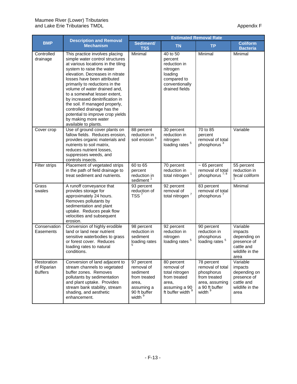|                                              | <b>Description and Removal</b><br><b>Mechanism</b>                                                                                                                                                                                                                                                                                                                                                                                                                                               | <b>Estimated Removal Rate</b>                                                                                     |                                                                                                               |                                                                                                             |                                                                                             |
|----------------------------------------------|--------------------------------------------------------------------------------------------------------------------------------------------------------------------------------------------------------------------------------------------------------------------------------------------------------------------------------------------------------------------------------------------------------------------------------------------------------------------------------------------------|-------------------------------------------------------------------------------------------------------------------|---------------------------------------------------------------------------------------------------------------|-------------------------------------------------------------------------------------------------------------|---------------------------------------------------------------------------------------------|
| <b>BMP</b>                                   |                                                                                                                                                                                                                                                                                                                                                                                                                                                                                                  | Sediment/<br><b>TSS</b>                                                                                           | <b>TN</b>                                                                                                     | <b>TP</b>                                                                                                   | <b>Coliform</b><br><b>Bacteria</b>                                                          |
| Controlled<br>drainage                       | This practice involves placing<br>simple water control structures<br>at various locations in the tiling<br>system to raise the water<br>elevation. Decreases in nitrate<br>losses have been attributed<br>primarily to reductions in the<br>volume of water drained and,<br>to a somewhat lesser extent,<br>by increased denitrification in<br>the soil. If managed properly,<br>controlled drainage has the<br>potential to improve crop yields<br>by making more water<br>available to plants. | Minimal                                                                                                           | 40 to 50<br>percent<br>reduction in<br>nitrogen<br>loading<br>compared to<br>conventionally<br>drained fields | Minimal                                                                                                     | Minimal                                                                                     |
| Cover crop                                   | Use of ground cover plants on<br>fallow fields. Reduces erosion,<br>provides organic materials and<br>nutrients to soil matrix,<br>reduces nutrient losses,<br>suppresses weeds, and<br>controls insects.                                                                                                                                                                                                                                                                                        | 88 percent<br>reduction in<br>soil erosion $3$                                                                    | 30 percent<br>reduction in<br>nitrogen<br>loading rates <sup>5</sup>                                          | 70 to 85<br>percent<br>removal of total<br>phosphorus <sup>3</sup>                                          | Variable                                                                                    |
| Filter strips                                | Placement of vegetated strips<br>in the path of field drainage to<br>treat sediment and nutrients.                                                                                                                                                                                                                                                                                                                                                                                               | 60 to 65<br>percent<br>reduction in<br>sediment <sup>1</sup>                                                      | 70 percent<br>reduction in<br>total nitrogen <sup>1</sup>                                                     | $~5$ percent<br>removal of total<br>phosphorus <sup>7;8</sup>                                               | 55 percent<br>reduction in<br>fecal coliform                                                |
| Grass<br>swales                              | A runoff conveyance that<br>provides storage for<br>approximately 24 hours.<br>Removes pollutants by<br>sedimentation and plant<br>uptake. Reduces peak flow<br>velocities and subsequent<br>erosion.                                                                                                                                                                                                                                                                                            | 93 percent<br>reduction of<br>TSS $7$                                                                             | 92 percent<br>removal of<br>total nitrogen <sup>7</sup>                                                       | 83 percent<br>removal of total<br>phosphorus <sup>7</sup>                                                   | Minimal                                                                                     |
| Conservation<br>Easements                    | Conversion of highly erodible<br>land or land near nutrient<br>sensitive waterbodies to grass<br>or forest cover. Reduces<br>loading rates to natural<br>conditions.                                                                                                                                                                                                                                                                                                                             | 98 percent<br>reduction in<br>sediment<br>loading rates                                                           | 92 percent<br>reduction in<br>nitrogen<br>loading rates <sup>5</sup>                                          | 90 percent<br>reduction in<br>phosphorus<br>loading rates <sup>5</sup>                                      | Variable<br>impacts<br>depending on<br>presence of<br>cattle and<br>wildlife in the<br>area |
| Restoration<br>of Riparian<br><b>Buffers</b> | Conversion of land adjacent to<br>stream channels to vegetated<br>buffer zones. Removes<br>pollutants by sedimentation<br>and plant uptake. Provides<br>stream bank stability, stream<br>shading, and aesthetic<br>enhancement.                                                                                                                                                                                                                                                                  | 97 percent<br>removal of<br>sediment<br>from treated<br>area,<br>assuming a<br>90 ft buffer<br>width <sup>9</sup> | 80 percent<br>removal of<br>total nitrogen<br>from treated<br>area,<br>assuming a 90<br>ft buffer width 9     | 78 percent<br>removal of total<br>phosphorus<br>from treated<br>area, assuming<br>a 90 ft buffer<br>width 9 | Variable<br>impacts<br>depending on<br>presence of<br>cattle and<br>wildlife in the<br>area |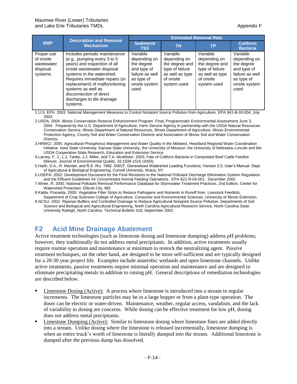|                                                               | <b>Description and Removal</b><br><b>Mechanism</b>                                                                                                                                                                                                                                                                      | <b>Estimated Removal Rate</b>                                                                                   |                                                                                                              |                                                                                                              |                                                                                                                 |  |
|---------------------------------------------------------------|-------------------------------------------------------------------------------------------------------------------------------------------------------------------------------------------------------------------------------------------------------------------------------------------------------------------------|-----------------------------------------------------------------------------------------------------------------|--------------------------------------------------------------------------------------------------------------|--------------------------------------------------------------------------------------------------------------|-----------------------------------------------------------------------------------------------------------------|--|
| <b>BMP</b>                                                    |                                                                                                                                                                                                                                                                                                                         | Sediment/<br><b>TSS</b>                                                                                         | <b>TN</b>                                                                                                    | ТP                                                                                                           | <b>Coliform</b><br><b>Bacteria</b>                                                                              |  |
| Proper use<br>of onsite<br>wastewater<br>disposal<br>systems. | Includes periodic maintenance<br>(e.g., pumping every 3 to 5<br>years) and inspection of all<br>onsite wastewater disposal<br>systems in the watershed.<br>Requires immediate repairs (or<br>replacement) of malfunctioning<br>systems as well as<br>disconnection of direct<br>discharges to tile drainage<br>systems. | Variable<br>depending on<br>the degree<br>and type of<br>failure as well<br>as type of<br>onsite system<br>used | Variable<br>depending on<br>the degree and<br>type of failure<br>as well as type<br>of onsite<br>system used | Variable<br>depending on<br>the degree and<br>type of failure<br>as well as type<br>of onsite<br>system used | Variable<br>depending on<br>the degree<br>and type of<br>failure as well<br>as type of<br>onsite system<br>used |  |

1.U.S. EPA. 2003. National Management Measures to Control Nonpoint Source Pollution from Agriculture. EPA 841-B-03-004, July 2003.

2.USDA. 2004. Illinois Conservation Reserve Enhancement Program, Final, Programmatic Environmental Assessment June 3, 2004. Prepared by the U.S. Department of Agriculture, Farm Service Agency in partnership with the USDA Natural Resources Conservation Service, Illinois Department of Natural Resources, Illinois Department of Agriculture, Illinois Environmental Protection Agency, County Soil and Water Conservation Districts and Association of Illinois Soil and Water Conservation Districts.

3.HRWCI. 2005. Agricultural Phosphorus Management and Water Quality in the Midwest. Heartland Regional Water Coordination Initiative. Iowa State University, Kansas State University, the University of Missouri, the University of Nebraska–Lincoln and the USDA Cooperative State Research, Education and Extension Service.

4.Larney, F. J., L.J. Yanke, J.J. Miller, and T.A. McAllister. 2003. Fate of Coliform Bacteria in Composted Beef Cattle Feedlot Manure. Journal of Environmental Quality. 32:1508-1515 (2003).

5.Haith, D.A., R. Mandel, and R.S. Wu. 1992. GWLF, Generalized Watershed Loading Functions, Version 2.0, User's Manual. Dept. of Agricultural & Biological Engineering, Cornell University, Ithaca, NY.

6.USEPA. 2002. Development Document for the Final Revisions to the National Pollutant Discharge Elimination System Regulation and the Effluent Guidelines for Concentrated Animal Feeding Operations. EPA-821-R-03-001. December 2002.

- 7.Winer, R. 2000. National Pollutant Removal Performance Database for Stormwater Treatment Practices, 2nd Edition. Center for Watershed Protection. Ellicott City, MD.
- 8.Kalita, Prasanta. 2000. Vegetative Filter Strips to Reduce Pathogens and Nutrients in Runoff from Livestock Feedlots. Department of Crop Sciences College of Agriculture, Consumer and Environmental Sciences, University of Illinois Extension.

9.NCSU. 2002. Riparian Buffers and Controlled Drainage to Reduce Agricultural Nonpoint Source Pollution. Departments of Soil Science and Biological and Agricultural Engineering, North Carolina Agricultural Research Service, North Carolina State University Raleigh, North Carolina. Technical Bulletin 318, September 2002.

# <span id="page-13-0"></span>**F2 Acid Mine Drainage Abatement**

Active treatment technologies (such as limestone dosing and limestone dumping) address pH problems; however, they traditionally do not address metal precipitants. In addition, active treatments usually require routine operation and maintenance at minimum to restock the neutralizing agent. Passive treatment techniques, on the other hand, are designed to be more self-sufficient and are typically designed for a 20-30 year project life. Examples include anaerobic wetlands and open limestone channels. Unlike active treatments, passive treatments require minimal operation and maintenance and are designed to eliminate precipitating metals in addition to raising pH. General descriptions of remediation technologies are described below.

- Limestone Dosing (Active): A process where limestone is introduced into a stream in regular increments. The limestone particles may be in a large hopper or from a plant-type operation. The doser can be electric or water-driven. Maintenance, weather, regular access, vandalism, and the lack of variability in dosing are concerns. While dosing can be effective treatment for low pH, dosing does not address metal precipitants.
- Limestone Dumping (Active): Similar to limestone dosing where limestone fines are added directly into a stream. Unlike dosing where the limestone is released incrementally, limestone dumping is when an entire truck's worth of limestone is literally dumped into the stream. Additional limestone is dumped after the previous dump has dissolved.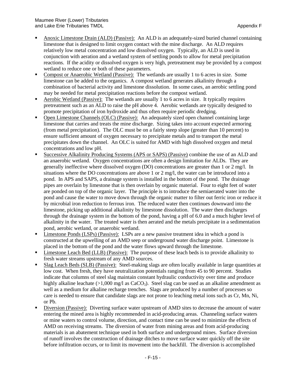- Anoxic Limestone Drain (ALD) (Passive): An ALD is an adequately-sized buried channel containing limestone that is designed to limit oxygen contact with the mine discharge. An ALD requires relatively low metal concentration and low dissolved oxygen. Typically, an ALD is used in conjunction with aeration and a wetland system of settling ponds to allow for metal precipitation reactions. If the acidity or dissolved oxygen is very high, pretreatment may be provided by a compost wetland to reduce one or both of these parameters.
- Compost or Anaerobic Wetland (Passive): The wetlands are usually 1 to 6 acres in size. Some limestone can be added to the organics. A compost wetland generates alkalinity through a combination of bacterial activity and limestone dissolution. In some cases, an aerobic settling pond may be needed for metal precipitation reactions before the compost wetland.
- Aerobic Wetland (Passive): The wetlands are usually 1 to 6 acres in size. It typically requires pretreatment such as an ALD to raise the pH above 4. Aerobic wetlands are typically designed to promote precipitation of iron hydroxide and thus often require periodic dredging.
- Open Limestone Channels (OLC) (Passive): An adequately sized open channel containing large limestone that carries and treats the mine discharge. Sizing takes into account expected armoring (from metal precipitation). The OLC must be on a fairly steep slope (greater than 10 percent) to ensure sufficient amount of oxygen necessary to precipitate metals and to transport the metal precipitates down the channel. An OLC is suited for AMD with high dissolved oxygen and metal concentrations and low pH.
- Successive Alkalinity Producing Systems (APS or SAPS) (Passive) combine the use of an ALD and an anaerobic wetland. Oxygen concentrations are often a design limitation for ALDs. They are generally ineffective where dissolved oxygen (DO) concentrations are greater than 1 or 2 mg/l. In situations where the DO concentrations are above 1 or 2 mg/l, the water can be introduced into a pond. In APS and SAPS, a drainage system is installed in the bottom of the pond. The drainage pipes are overlain by limestone that is then overlain by organic material. Four to eight feet of water are ponded on top of the organic layer. The principle is to introduce the semiaerated water into the pond and cause the water to move down through the organic matter to filter out ferric iron or reduce it by microbial iron reduction to ferrous iron. The reduced water then continues downward into the limestone, picking up additional alkalinity by limestone dissolution. The water then discharges through the drainage system in the bottom of the pond, having a pH of 6.0 and a much higher level of alkalinity in the water. The treated water is then aerated and the metals precipitate in a sedimentation pond, aerobic wetland, or anaerobic wetland.
- Limestone Ponds (LSPs) (Passive): LSPs are a new passive treatment idea in which a pond is constructed at the upwelling of an AMD seep or underground water discharge point. Limestone is placed in the bottom of the pond and the water flows upward through the limestone.
- Limestone Leach Bed (LLB) (Passive): The purpose of these leach beds is to provide alkalinity to fresh water streams upstream of any AMD sources.
- Slag Leach Beds (SLB) (Passive): Steel-making slags are often locally available in large quantities at low cost. When fresh, they have neutralization potentials ranging from 45 to 90 percent. Studies indicate that columns of steel slag maintain constant hydraulic conductivity over time and produce highly alkaline leachate ( $>1,000$  mg/l as CaCO<sub>3</sub>). Steel slag can be used as an alkaline amendment as well as a medium for alkaline recharge trenches. Slags are produced by a number of processes so care is needed to ensure that candidate slags are not prone to leaching metal ions such as Cr, Mn, Ni, or Pb.
- Diversion (Passive): Diverting surface water upstream of AMD sites to decrease the amount of water entering the mined area is highly recommended in acid-producing areas. Channeling surface waters or mine waters to control volume, direction, and contact time can be used to minimize the effects of AMD on receiving streams. The diversion of water from mining areas and from acid-producing materials is an abatement technique used in both surface and underground mines. Surface diversion of runoff involves the construction of drainage ditches to move surface water quickly off the site before infiltration occurs, or to limit its movement into the backfill. The diversion is accomplished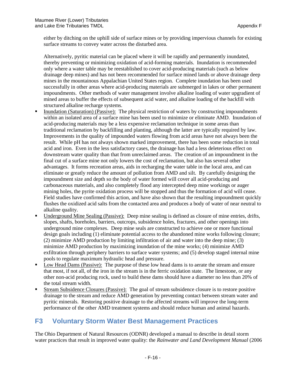either by ditching on the uphill side of surface mines or by providing impervious channels for existing surface streams to convey water across the disturbed area.

Alternatively, pyritic material can be placed where it will be rapidly and permanently inundated, thereby preventing or minimizing oxidation of acid-forming materials. Inundation is recommended only where a water table may be reestablished to cover acid-producing materials (such as below drainage deep mines) and has not been recommended for surface mined lands or above drainage deep mines in the mountainous Appalachian United States region. Complete inundation has been used successfully in other areas where acid-producing materials are submerged in lakes or other permanent impoundments. Other methods of water management involve alkaline loading of water upgradient of mined areas to buffer the effects of subsequent acid water, and alkaline loading of the backfill with structured alkaline recharge systems.

- Inundation (Saturation) (Passive): The physical restriction of waters by constructing impoundments within an isolated area of a surface mine has been used to minimize or eliminate AMD. Inundation of acid-producing materials may be a less expensive reclamation technique in some areas than traditional reclamation by backfilling and planting, although the latter are typically required by law. Improvements in the quality of impounded waters flowing from acid areas have not always been the result. While pH has not always shown marked improvement, there has been some reduction in total acid and iron. Even in the less satisfactory cases, the drainage has had a less deleterious effect on downstream water quality than that from unreclaimed areas. The creation of an impoundment in the final cut of a surface mine not only lowers the cost of reclamation, but also has several other advantages. It forms recreation areas, aids in recharging the water table in the local area, and can eliminate or greatly reduce the amount of pollution from AMD and silt. By carefully designing the impoundment size and depth so the body of water formed will cover all acid-producing and carbonaceous materials, and also completely flood any intercepted deep mine workings or auger mining holes, the pyrite oxidation process will be stopped and thus the formation of acid will cease. Field studies have confirmed this action, and have also shown that the resulting impoundment quickly flushes the oxidized acid salts from the contacted area and produces a body of water of near neutral to alkaline quality.
- Underground Mine Sealing (Passive): Deep mine sealing is defined as closure of mine entries, drifts, slopes, shafts, boreholes, barriers, outcrops, subsidence holes, fractures, and other openings into underground mine complexes. Deep mine seals are constructed to achieve one or more functional design goals including (1) eliminate potential access to the abandoned mine works following closure; (2) minimize AMD production by limiting infiltration of air and water into the deep mine; (3) minimize AMD production by maximizing inundation of the mine works; (4) minimize AMD exfiltration through periphery barriers to surface water systems; and (5) develop staged internal mine pools to regulate maximum hydraulic head and pressure.
- **Low Head Dams (Passive):** The purpose of these low head dams is to aerate the stream and ensure that most, if not all, of the iron in the stream is in the ferric oxidation state. The limestone, or any other non-acid producing rock, used to build these dams should have a diameter no less than 20% of the total stream width.
- Stream Subsidence Closures (Passive): The goal of stream subsidence closure is to restore positive drainage to the stream and reduce AMD generation by preventing contact between stream water and pyritic minerals. Restoring positive drainage to the affected streams will improve the long-term performance of the other AMD treatment systems and should reduce human and animal hazards.

# <span id="page-15-0"></span>**F3 Voluntary Storm Water Best Management Practices**

The Ohio Department of Natural Resources (ODNR) developed a manual to describe in detail storm water practices that result in improved water quality: the *Rainwater and Land Development Manual* (2006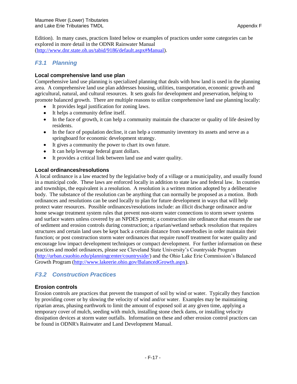Edition). In many cases, practices listed below or examples of practices under some categories can be explored in more detail in the ODNR Rainwater Manual [\(http://www.dnr.state.oh.us/tabid/9186/default.aspx#Manual\)](http://www.dnr.state.oh.us/tabid/9186/default.aspx#Manual).

# <span id="page-16-0"></span>*F3.1 Planning*

### **Local comprehensive land use plan**

Comprehensive land use planning is specialized planning that deals with how land is used in the planning area. A comprehensive land use plan addresses housing, utilities, transportation, economic growth and agricultural, natural, and cultural resources. It sets goals for development and preservation, helping to promote balanced growth. There are multiple reasons to utilize comprehensive land use planning locally:

- It provides legal justification for zoning laws.
- It helps a community define itself.
- In the face of growth, it can help a community maintain the character or quality of life desired by residents.
- In the face of population decline, it can help a community inventory its assets and serve as a springboard for economic development strategy.
- It gives a community the power to chart its own future.
- It can help leverage federal grant dollars.
- It provides a critical link between land use and water quality.

### **Local ordinances/resolutions**

A local ordinance is a law enacted by the legislative body of a village or a municipality, and usually found in a municipal code. These laws are enforced locally in addition to state law and federal law. In counties and townships, the equivalent is a resolution. A resolution is a written motion adopted by a deliberative body. The substance of the resolution can be anything that can normally be proposed as a motion. Both ordinances and resolutions can be used locally to plan for future development in ways that will help protect water resources. Possible ordinances/resolutions include: an illicit discharge ordinance and/or home sewage treatment system rules that prevent non-storm water connections to storm sewer systems and surface waters unless covered by an NPDES permit; a construction site ordinance that ensures the use of sediment and erosion controls during construction; a riparian/wetland setback resolution that requires structures and certain land uses be kept back a certain distance from waterbodies in order maintain their function; or post construction storm water ordinances that require runoff treatment for water quality and encourage low impact development techniques or compact development. For further information on these practices and model ordinances, please see Cleveland State University's Countryside Program [\(http://urban.csuohio.edu/planningcenter/countryside/\)](http://urban.csuohio.edu/planningcenter/countryside/) and the Ohio Lake Erie Commission's Balanced Growth Program [\(http://www.lakeerie.ohio.gov/BalancedGrowth.aspx\)](http://www.lakeerie.ohio.gov/BalancedGrowth.aspx).

# <span id="page-16-1"></span>*F3.2 Construction Practices*

## **Erosion controls**

Erosion controls are practices that prevent the transport of soil by wind or water. Typically they function by providing cover or by slowing the velocity of wind and/or water. Examples may be maintaining riparian areas, phasing earthwork to limit the amount of exposed soil at any given time, applying a temporary cover of mulch, seeding with mulch, installing stone check dams, or installing velocity dissipation devices at storm water outfalls. Information on these and other erosion control practices can be found in ODNR's Rainwater and Land Development Manual.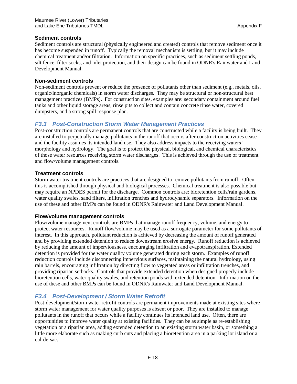## **Sediment controls**

Sediment controls are structural (physically engineered and created) controls that remove sediment once it has become suspended in runoff. Typically the removal mechanism is settling, but it may include chemical treatment and/or filtration. Information on specific practices, such as sediment settling ponds, silt fence, filter socks, and inlet protection, and their design can be found in ODNR's Rainwater and Land Development Manual.

## **Non-sediment controls**

Non-sediment controls prevent or reduce the presence of pollutants other than sediment (e.g., metals, oils, organic/inorganic chemicals) in storm water discharges. They may be structural or non-structural best management practices (BMPs). For construction sites, examples are: secondary containment around fuel tanks and other liquid storage areas, rinse pits to collect and contain concrete rinse water, covered dumpsters, and a strong spill response plan.

# <span id="page-17-0"></span>*F3.3 Post-Construction Storm Water Management Practices*

Post-construction controls are permanent controls that are constructed while a facility is being built. They are installed to perpetually manage pollutants in the runoff that occurs after construction activities cease and the facility assumes its intended land use. They also address impacts to the receiving waters' morphology and hydrology. The goal is to protect the physical, biological, and chemical characteristics of those water resources receiving storm water discharges. This is achieved through the use of treatment and flow/volume management controls.

## **Treatment controls**

Storm water treatment controls are practices that are designed to remove pollutants from runoff. Often this is accomplished through physical and biological processes. Chemical treatment is also possible but may require an NPDES permit for the discharge. Common controls are: bioretention cells/rain gardens, water quality swales, sand filters, infiltration trenches and hydrodynamic separators. Information on the use of these and other BMPs can be found in ODNR's Rainwater and Land Development Manual.

## **Flow/volume management controls**

Flow/volume management controls are BMPs that manage runoff frequency, volume, and energy to protect water resources. Runoff flow/volume may be used as a surrogate parameter for some pollutants of interest. In this approach, pollutant reduction is achieved by decreasing the amount of runoff generated and by providing extended detention to reduce downstream erosive energy. Runoff reduction is achieved by reducing the amount of imperviousness, encouraging infiltration and evapotranspiration. Extended detention is provided for the water quality volume generated during each storm. Examples of runoff reduction controls include disconnecting impervious surfaces, maintaining the natural hydrology, using rain barrels, encouraging infiltration by directing flow to vegetated areas or infiltration trenches, and providing riparian setbacks. Controls that provide extended detention when designed properly include bioretention cells, water quality swales, and retention ponds with extended detention. Information on the use of these and other BMPs can be found in ODNR's Rainwater and Land Development Manual.

# <span id="page-17-1"></span>*F3.4 Post-Development / Storm Water Retrofit*

Post-development/storm water retrofit controls are permanent improvements made at existing sites where storm water management for water quality purposes is absent or poor. They are installed to manage pollutants in the runoff that occurs while a facility continues its intended land use. Often, there are opportunities to improve water quality at existing facilities. They can be as simple as re-establishing vegetation or a riparian area, adding extended detention to an existing storm water basin, or something a little more elaborate such as making curb cuts and placing a bioretention area in a parking lot island or a cul-de-sac.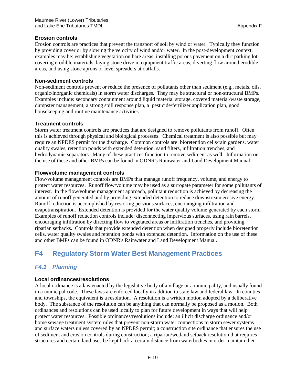# **Erosion controls**

Erosion controls are practices that prevent the transport of soil by wind or water. Typically they function by providing cover or by slowing the velocity of wind and/or water. In the post-development context, examples may be: establishing vegetation on bare areas, installing porous pavement on a dirt parking lot, covering erodible materials, laying stone drive in equipment traffic areas, diverting flow around erodible areas, and using stone aprons or level spreaders at outfalls.

## **Non-sediment controls**

Non-sediment controls prevent or reduce the presence of pollutants other than sediment (e.g., metals, oils, organic/inorganic chemicals) in storm water discharges. They may be structural or non-structural BMPs. Examples include: secondary containment around liquid material storage, covered material/waste storage, dumpster management, a strong spill response plan, a pesticide/fertilizer application plan, good housekeeping and routine maintenance activities.

## **Treatment controls**

Storm water treatment controls are practices that are designed to remove pollutants from runoff. Often this is achieved through physical and biological processes. Chemical treatment is also possible but may require an NPDES permit for the discharge. Common controls are: bioretention cells/rain gardens, water quality swales, retention ponds with extended detention, sand filters, infiltration trenches, and hydrodynamic separators. Many of these practices function to remove sediment as well. Information on the use of these and other BMPs can be found in ODNR's Rainwater and Land Development Manual.

## **Flow/volume management controls**

Flow/volume management controls are BMPs that manage runoff frequency, volume, and energy to protect water resources. Runoff flow/volume may be used as a surrogate parameter for some pollutants of interest. In the flow/volume management approach, pollutant reduction is achieved by decreasing the amount of runoff generated and by providing extended detention to reduce downstream erosive energy. Runoff reduction is accomplished by restoring pervious surfaces, encouraging infiltration and evapotranspiration. Extended detention is provided for the water quality volume generated by each storm. Examples of runoff reduction controls include: disconnecting impervious surfaces, using rain barrels, encouraging infiltration by directing flow to vegetated areas or infiltration trenches, and providing riparian setbacks. Controls that provide extended detention when designed properly include bioretention cells, water quality swales and retention ponds with extended detention. Information on the use of these and other BMPs can be found in ODNR's Rainwater and Land Development Manual.

# <span id="page-18-0"></span>**F4 Regulatory Storm Water Best Management Practices**

# <span id="page-18-1"></span>*F4.1 Planning*

## **Local ordinances/resolutions**

A local ordinance is a law enacted by the legislative body of a village or a municipality, and usually found in a municipal code. These laws are enforced locally in addition to state law and federal law. In counties and townships, the equivalent is a resolution. A resolution is a written motion adopted by a deliberative body. The substance of the resolution can be anything that can normally be proposed as a motion. Both ordinances and resolutions can be used locally to plan for future development in ways that will help protect water resources. Possible ordinances/resolutions include: an illicit discharge ordinance and/or home sewage treatment system rules that prevent non-storm water connections to storm sewer systems and surface waters unless covered by an NPDES permit; a construction site ordinance that ensures the use of sediment and erosion controls during construction; a riparian/wetland setback resolution that requires structures and certain land uses be kept back a certain distance from waterbodies in order maintain their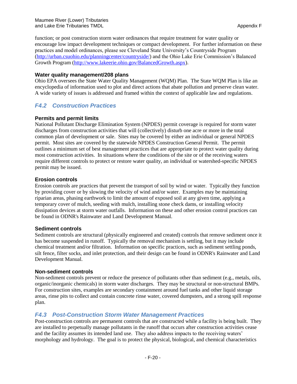function; or post construction storm water ordinances that require treatment for water quality or encourage low impact development techniques or compact development. For further information on these practices and model ordinances, please see Cleveland State University's Countryside Program [\(http://urban.csuohio.edu/planningcenter/countryside/\)](http://urban.csuohio.edu/planningcenter/countryside/) and the Ohio Lake Erie Commission's Balanced Growth Program [\(http://www.lakeerie.ohio.gov/BalancedGrowth.aspx\)](http://www.lakeerie.ohio.gov/BalancedGrowth.aspx).

### **Water quality management/208 plans**

Ohio EPA oversees the State Water Quality Management (WQM) Plan. The State WQM Plan is like an encyclopedia of information used to plot and direct actions that abate pollution and preserve clean water. A wide variety of issues is addressed and framed within the context of applicable law and regulations.

# <span id="page-19-0"></span>*F4.2 Construction Practices*

## **Permits and permit limits**

National Pollutant Discharge Elimination System (NPDES) permit coverage is required for storm water discharges from construction activities that will (collectively) disturb one acre or more in the total common plan of development or sale. Sites may be covered by either an individual or general NPDES permit. Most sites are covered by the statewide NPDES Construction General Permit. The permit outlines a minimum set of best management practices that are appropriate to protect water quality during most construction activities. In situations where the conditions of the site or of the receiving waters require different controls to protect or restore water quality, an individual or watershed-specific NPDES permit may be issued.

## **Erosion controls**

Erosion controls are practices that prevent the transport of soil by wind or water. Typically they function by providing cover or by slowing the velocity of wind and/or water. Examples may be maintaining riparian areas, phasing earthwork to limit the amount of exposed soil at any given time, applying a temporary cover of mulch, seeding with mulch, installing stone check dams, or installing velocity dissipation devices at storm water outfalls. Information on these and other erosion control practices can be found in ODNR's Rainwater and Land Development Manual.

## **Sediment controls**

Sediment controls are structural (physically engineered and created) controls that remove sediment once it has become suspended in runoff. Typically the removal mechanism is settling, but it may include chemical treatment and/or filtration. Information on specific practices, such as sediment settling ponds, silt fence, filter socks, and inlet protection, and their design can be found in ODNR's Rainwater and Land Development Manual.

## **Non-sediment controls**

Non-sediment controls prevent or reduce the presence of pollutants other than sediment (e.g., metals, oils, organic/inorganic chemicals) in storm water discharges. They may be structural or non-structural BMPs. For construction sites, examples are secondary containment around fuel tanks and other liquid storage areas, rinse pits to collect and contain concrete rinse water, covered dumpsters, and a strong spill response plan.

# <span id="page-19-1"></span>*F4.3 Post-Construction Storm Water Management Practices*

Post-construction controls are permanent controls that are constructed while a facility is being built. They are installed to perpetually manage pollutants in the runoff that occurs after construction activities cease and the facility assumes its intended land use. They also address impacts to the receiving waters' morphology and hydrology. The goal is to protect the physical, biological, and chemical characteristics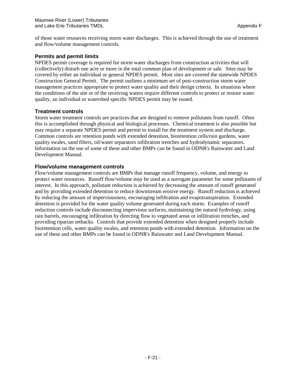of those water resources receiving storm water discharges. This is achieved through the use of treatment and flow/volume management controls.

### **Permits and permit limits**

NPDES permit coverage is required for storm water discharges from construction activities that will (collectively) disturb one acre or more in the total common plan of development or sale. Sites may be covered by either an individual or general NPDES permit. Most sites are covered the statewide NPDES Construction General Permit. The permit outlines a minimum set of post-construction storm water management practices appropriate to protect water quality and their design criteria. In situations where the conditions of the site or of the receiving waters require different controls to protect or restore water quality, an individual or watershed specific NPDES permit may be issued.

## **Treatment controls**

Storm water treatment controls are practices that are designed to remove pollutants from runoff. Often this is accomplished through physical and biological processes. Chemical treatment is also possible but may require a separate NPDES permit and permit to install for the treatment system and discharge. Common controls are retention ponds with extended detention, bioretention cells/rain gardens, water quality swales, sand filters, oil/water separators infiltration trenches and hydrodynamic separators. Information on the use of some of these and other BMPs can be found in ODNR's Rainwater and Land Development Manual.

### **Flow/volume management controls**

Flow/volume management controls are BMPs that manage runoff frequency, volume, and energy to protect water resources. Runoff flow/volume may be used as a surrogate parameter for some pollutants of interest. In this approach, pollutant reduction is achieved by decreasing the amount of runoff generated and by providing extended detention to reduce downstream erosive energy. Runoff reduction is achieved by reducing the amount of imperviousness, encouraging infiltration and evapotranspiration. Extended detention is provided for the water quality volume generated during each storm. Examples of runoff reduction controls include disconnecting impervious surfaces, maintaining the natural hydrology, using rain barrels, encouraging infiltration by directing flow to vegetated areas or infiltration trenches, and providing riparian setbacks. Controls that provide extended detention when designed properly include bioretention cells, water quality swales, and retention ponds with extended detention. Information on the use of these and other BMPs can be found in ODNR's Rainwater and Land Development Manual.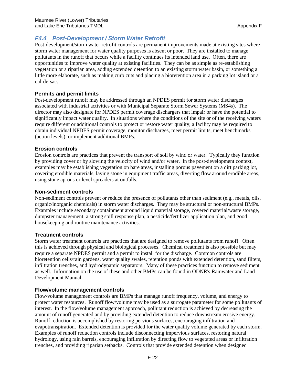# <span id="page-21-0"></span>*F4.4 Post-Development / Storm Water Retrofit*

Post-development/storm water retrofit controls are permanent improvements made at existing sites where storm water management for water quality purposes is absent or poor. They are installed to manage pollutants in the runoff that occurs while a facility continues its intended land use. Often, there are opportunities to improve water quality at existing facilities. They can be as simple as re-establishing vegetation or a riparian area, adding extended detention to an existing storm water basin, or something a little more elaborate, such as making curb cuts and placing a bioretention area in a parking lot island or a cul-de-sac.

## **Permits and permit limits**

Post-development runoff may be addressed through an NPDES permit for storm water discharges associated with industrial activities or with Municipal Separate Storm Sewer Systems (MS4s). The director may also designate for NPDES permit coverage dischargers that impair or have the potential to significantly impact water quality. In situations where the conditions of the site or of the receiving waters require different or additional controls to protect or restore water quality, a facility may be required to obtain individual NPDES permit coverage, monitor discharges, meet permit limits, meet benchmarks (action levels), or implement additional BMPs.

## **Erosion controls**

Erosion controls are practices that prevent the transport of soil by wind or water. Typically they function by providing cover or by slowing the velocity of wind and/or water. In the post-development context, examples may be establishing vegetation on bare areas, installing porous pavement on a dirt parking lot, covering erodible materials, laying stone in equipment traffic areas, diverting flow around erodible areas, using stone aprons or level spreaders at outfalls.

### **Non-sediment controls**

Non-sediment controls prevent or reduce the presence of pollutants other than sediment (e.g., metals, oils, organic/inorganic chemicals) in storm water discharges. They may be structural or non-structural BMPs. Examples include secondary containment around liquid material storage, covered material/waste storage, dumpster management, a strong spill response plan, a pesticide/fertilizer application plan, and good housekeeping and routine maintenance activities.

## **Treatment controls**

Storm water treatment controls are practices that are designed to remove pollutants from runoff. Often this is achieved through physical and biological processes. Chemical treatment is also possible but may require a separate NPDES permit and a permit to install for the discharge. Common controls are bioretention cells/rain gardens, water quality swales, retention ponds with extended detention, sand filters, infiltration trenches, and hydrodynamic separators. Many of these practices function to remove sediment as well. Information on the use of these and other BMPs can be found in ODNR's Rainwater and Land Development Manual.

## **Flow/volume management controls**

Flow/volume management controls are BMPs that manage runoff frequency, volume, and energy to protect water resources. Runoff flow/volume may be used as a surrogate parameter for some pollutants of interest. In the flow/volume management approach, pollutant reduction is achieved by decreasing the amount of runoff generated and by providing extended detention to reduce downstream erosive energy. Runoff reduction is accomplished by restoring pervious surfaces, encouraging infiltration and evapotranspiration. Extended detention is provided for the water quality volume generated by each storm. Examples of runoff reduction controls include disconnecting impervious surfaces, restoring natural hydrology, using rain barrels, encouraging infiltration by directing flow to vegetated areas or infiltration trenches, and providing riparian setbacks. Controls that provide extended detention when designed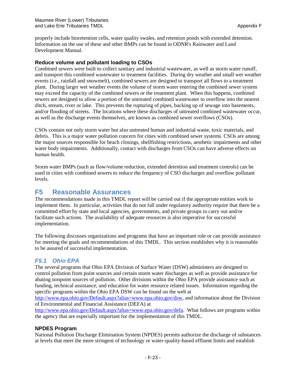properly include bioretention cells, water quality swales, and retention ponds with extended detention. Information on the use of these and other BMPs can be found in ODNR's Rainwater and Land Development Manual.

### **Reduce volume and pollutant loading to CSOs**

Combined sewers were built to collect sanitary and industrial wastewater, as well as storm water runoff, and transport this combined wastewater to treatment facilities. During dry weather and small wet weather events (*i.e.*, rainfall and snowmelt), combined sewers are designed to transport all flows to a treatment plant. During larger wet weather events the volume of storm water entering the combined sewer system may exceed the capacity of the combined sewers or the treatment plant. When this happens, combined sewers are designed to allow a portion of the untreated combined wastewater to overflow into the nearest ditch, stream, river or lake. This prevents the rupturing of pipes, backing up of sewage into basements, and/or flooding of streets. The locations where these discharges of untreated combined wastewater occur, as well as the discharge events themselves, are known as combined sewer overflows (CSOs).

CSOs contain not only storm water but also untreated human and industrial waste, toxic materials, and debris. This is a major water pollution concern for cities with combined sewer systems. CSOs are among the major sources responsible for beach closings, shellfishing restrictions, aesthetic impairments and other water body impairments. Additionally, contact with discharges from CSOs can have adverse effects on human health.

Storm water BMPs (such as flow/volume reduction, extended detention and treatment controls) can be used in cities with combined sewers to reduce the frequency of CSO discharges and overflow pollutant levels.

# <span id="page-22-0"></span>**F5 Reasonable Assurances**

The recommendations made in this TMDL report will be carried out if the appropriate entities work to implement them. In particular, activities that do not fall under regulatory authority require that there be a committed effort by state and local agencies, governments, and private groups to carry out and/or facilitate such actions. The availability of adequate resources is also imperative for successful implementation.

The following discusses organizations and programs that have an important role or can provide assistance for meeting the goals and recommendations of this TMDL. This section establishes why it is reasonable to be assured of successful implementation.

## <span id="page-22-1"></span>*F5.1 Ohio EPA*

The several programs that Ohio EPA Division of Surface Water (DSW) administers are designed to control pollution from point sources and certain storm water discharges as well as provide assistance for abating nonpoint sources of pollution. Other divisions within the Ohio EPA provide assistance such as funding, technical assistance, and education for water resource related issues. Information regarding the specific programs within the Ohio EPA DSW can be found on the web at

[http://www.epa.ohio.gov/Default.aspx?alias=www.epa.ohio.gov/dsw,](http://www.epa.ohio.gov/Default.aspx?alias=www.epa.ohio.gov/dsw) and information about the Division of Environmental and Financial Assistance (DEFA) at

[http://www.epa.ohio.gov/Default.aspx?alias=www.epa.ohio.gov/defa.](http://www.epa.ohio.gov/Default.aspx?alias=www.epa.ohio.gov/defa) What follows are programs within the agency that are especially important for the implementation of this TMDL.

## **NPDES Program**

National Pollution Discharge Elimination System (NPDES) permits authorize the discharge of substances at levels that meet the more stringent of technology or water-quality-based effluent limits and establish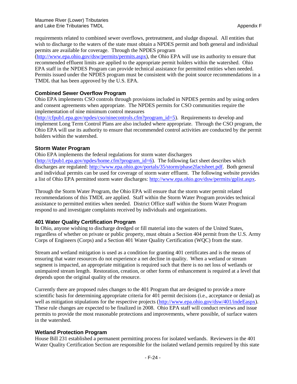requirements related to combined sewer overflows, pretreatment, and sludge disposal. All entities that wish to discharge to the waters of the state must obtain a NPDES permit and both general and individual permits are available for coverage. Through the NPDES program

[\(http://www.epa.ohio.gov/dsw/permits/permits.aspx\)](http://www.epa.ohio.gov/dsw/permits/permits.aspx), the Ohio EPA will use its authority to ensure that recommended effluent limits are applied to the appropriate permit holders within the watershed. Ohio EPA staff in the NPDES Program can provide technical assistance for permitted entities when needed. Permits issued under the NPDES program must be consistent with the point source recommendations in a TMDL that has been approved by the U.S. EPA.

## **Combined Sewer Overflow Program**

Ohio EPA implements CSO controls through provisions included in NPDES permits and by using orders and consent agreements when appropriate. The NPDES permits for CSO communities require the implementation of nine minimum control measures

[\(http://cfpub1.epa.gov/npdes/cso/ninecontrols.cfm?program\\_id=5\)](http://cfpub1.epa.gov/npdes/cso/ninecontrols.cfm?program_id=5). Requirements to develop and implement Long Term Control Plans are also included where appropriate. Through the CSO program, the Ohio EPA will use its authority to ensure that recommended control activities are conducted by the permit holders within the watershed.

## **Storm Water Program**

Ohio EPA implements the federal regulations for storm water dischargers [\(http://cfpub1.epa.gov/npdes/home.cfm?program\\_id=6\)](http://cfpub1.epa.gov/npdes/home.cfm?program_id=6). The following fact sheet describes which discharges are regulated: [http://www.epa.ohio.gov/portals/35/storm/phase2factsheet.pdf.](http://www.epa.ohio.gov/portals/35/storm/phase2factsheet.pdf) Both general and individual permits can be used for coverage of storm water effluent. The following website provides a list of Ohio EPA permitted storm water discharges: [http://www.epa.ohio.gov/dsw/permits/gplist.aspx.](http://www.epa.ohio.gov/dsw/permits/gplist.aspx)

Through the Storm Water Program, the Ohio EPA will ensure that the storm water permit related recommendations of this TMDL are applied. Staff within the Storm Water Program provides technical assistance to permitted entities when needed. District Office staff within the Storm Water Program respond to and investigate complaints received by individuals and organizations.

# **401 Water Quality Certification Program**

In Ohio, anyone wishing to discharge dredged or fill material into the waters of the United States, regardless of whether on private or public property, must obtain a Section 404 permit from the U.S. Army Corps of Engineers (Corps) and a Section 401 Water Quality Certification (WQC) from the state.

Stream and wetland mitigation is used as a condition for granting 401 certificates and is the means of ensuring that water resources do not experience a net decline in quality. When a wetland or stream segment is impacted, an appropriate mitigation is required such that there is no net loss of wetlands or unimpaired stream length. Restoration, creation, or other forms of enhancement is required at a level that depends upon the original quality of the resource.

Currently there are proposed rules changes to the 401 Program that are designed to provide a more scientific basis for determining appropriate criteria for 401 permit decisions (i.e., acceptance or denial) as well as mitigation stipulations for the respective projects [\(http://www.epa.ohio.gov/dsw/401/indeEaspx\)](http://www.epa.ohio.gov/dsw/401/index.aspx). These rule changes are expected to be finalized in 2008. Ohio EPA staff will conduct reviews and issue permits to provide the most reasonable protections and improvements, where possible, of surface waters in the watershed.

# **Wetland Protection Program**

House Bill 231 established a permanent permitting process for isolated wetlands. Reviewers in the 401 Water Quality Certification Section are responsible for the isolated wetland permits required by this state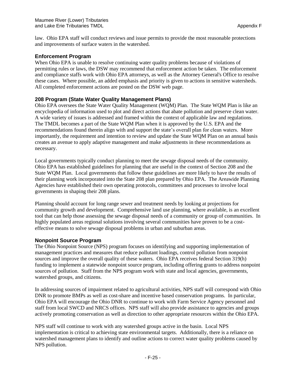law. Ohio EPA staff will conduct reviews and issue permits to provide the most reasonable protections and improvements of surface waters in the watershed.

### **Enforcement Program**

When Ohio EPA is unable to resolve continuing water quality problems because of violations of permitting rules or laws, the DSW may recommend that enforcement action be taken. The enforcement and compliance staffs work with Ohio EPA attorneys, as well as the Attorney General's Office to resolve these cases. Where possible, an added emphasis and priority is given to actions in sensitive watersheds. All completed enforcement actions are posted on the DSW web page.

## **208 Program (State Water Quality Management Plans)**

Ohio EPA oversees the State Water Quality Management (WQM) Plan. The State WQM Plan is like an encyclopedia of information used to plot and direct actions that abate pollution and preserve clean water. A wide variety of issues is addressed and framed within the context of applicable law and regulations. The TMDL becomes a part of the State WQM Plan when it is approved by the U.S. EPA and the recommendations found therein align with and support the state's overall plan for clean waters. More importantly, the requirement and intention to review and update the State WQM Plan on an annual basis creates an avenue to apply adaptive management and make adjustments in these recommendations as necessary.

Local governments typically conduct planning to meet the sewage disposal needs of the community. Ohio EPA has established guidelines for planning that are useful in the context of Section 208 and the State WQM Plan. Local governments that follow these guidelines are more likely to have the results of their planning work incorporated into the State 208 plan prepared by Ohio EPA. The Areawide Planning Agencies have established their own operating protocols, committees and processes to involve local governments in shaping their 208 plans.

Planning should account for long range sewer and treatment needs by looking at projections for community growth and development. Comprehensive land use planning, where available, is an excellent tool that can help those assessing the sewage disposal needs of a community or group of communities. In highly populated areas regional solutions involving several communities have proven to be a costeffective means to solve sewage disposal problems in urban and suburban areas.

## **Nonpoint Source Program**

The Ohio Nonpoint Source (NPS) program focuses on identifying and supporting implementation of management practices and measures that reduce pollutant loadings, control pollution from nonpoint sources and improve the overall quality of these waters. Ohio EPA receives federal Section 319(h) funding to implement a statewide nonpoint source program, including offering grants to address nonpoint sources of pollution. Staff from the NPS program work with state and local agencies, governments, watershed groups, and citizens.

In addressing sources of impairment related to agricultural activities, NPS staff will correspond with Ohio DNR to promote BMPs as well as cost-share and incentive based conservation programs. In particular, Ohio EPA will encourage the Ohio DNR to continue to work with Farm Service Agency personnel and staff from local SWCD and NRCS offices. NPS staff will also provide assistance to agencies and groups actively promoting conservation as well as direction to other appropriate resources within the Ohio EPA.

NPS staff will continue to work with any watershed groups active in the basin. Local NPS implementation is critical to achieving state environmental targets. Additionally, there is a reliance on watershed management plans to identify and outline actions to correct water quality problems caused by NPS pollution.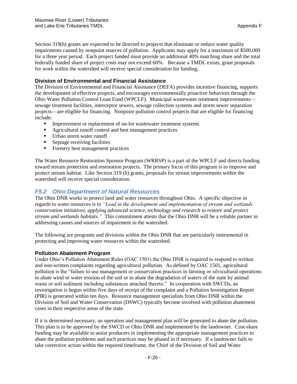Section 319(h) grants are expected to be directed to projects that eliminate or reduce water quality impairments caused by nonpoint sources of pollution. Applicants may apply for a maximum of \$500,000 for a three year period. Each project funded must provide an additional 40% matching share and the total federally funded share of project costs may not exceed 60%. Because a TMDL exists, grant proposals for work within the watershed will receive special consideration for funding.

## **Division of Environmental and Financial Assistance**

The Division of Environmental and Financial Assistance (DEFA) provides incentive financing, supports the development of effective projects, and encourages environmentally proactive behaviors through the Ohio Water Pollution Control Loan Fund (WPCLF). Municipal wastewater treatment improvements sewage treatment facilities, interceptor sewers, sewage collection systems and storm sewer separation projects—are eligible for financing. Nonpoint pollution control projects that are eligible for financing include:

- Improvement or replacement of on-lot wastewater treatment systems
- Agricultural runoff control and best management practices
- Urban storm water runoff
- Septage receiving facilities
- Forestry best management practices

The Water Resource Restoration Sponsor Program (WRRSP) is a part of the WPCLF and directs funding toward stream protection and restoration projects. The primary focus of this program is to improve and protect stream habitat. Like Section 319 (h) grants, proposals for stream improvements within the watershed will receive special consideration.

## <span id="page-25-0"></span>*F5.2 Ohio Department of Natural Resources*

The Ohio DNR works to protect land and water resources throughout Ohio. A specific objective in regards to water resources is to *"Lead in the development and implementation of stream and wetlands conservation initiatives, applying advanced science, technology and research to restore and protect stream and wetlands habitats."* This commitment attests that the Ohio DNR will be a reliable partner in addressing causes and sources of impairment in the watershed.

The following are programs and divisions within the Ohio DNR that are particularly instrumental in protecting and improving water resources within the watershed.

## **Pollution Abatement Program**

Under Ohio's Pollution Abatement Rules (OAC 1501) the Ohio DNR is required to respond to written and non-written complaints regarding agricultural pollution. As defined by OAC 1501, agricultural pollution is the "failure to use management or conservation practices in farming or silvicultural operations to abate wind or water erosion of the soil or to abate the degradation of waters of the state by animal waste or soil sediment including substances attached thereto." In cooperation with SWCDs, an investigation is begun within five days of receipt of the complaint and a Pollution Investigation Report (PIR) is generated within ten days. Resource management specialists from Ohio DNR within the Division of Soil and Water Conservation (DSWC) typically become involved with pollution abatement cases in their respective areas of the state.

If it is determined necessary, an operation and management plan will be generated to abate the pollution. This plan is to be approved by the SWCD or Ohio DNR and implemented by the landowner. Cost-share funding may be available to assist producers in implementing the appropriate management practices to abate the pollution problems and such practices may be phased in if necessary. If a landowner fails to take corrective action within the required timeframe, the Chief of the Division of Soil and Water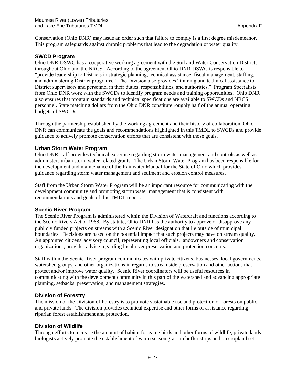Conservation (Ohio DNR) may issue an order such that failure to comply is a first degree misdemeanor. This program safeguards against chronic problems that lead to the degradation of water quality.

### **SWCD Program**

Ohio DNR-DSWC has a cooperative working agreement with the Soil and Water Conservation Districts throughout Ohio and the NRCS. According to the agreement Ohio DNR-DSWC is responsible to "provide leadership to Districts in strategic planning, technical assistance, fiscal management, staffing, and administering District programs." The Division also provides "training and technical assistance to District supervisors and personnel in their duties, responsibilities, and authorities." Program Specialists from Ohio DNR work with the SWCDs to identify program needs and training opportunities. Ohio DNR also ensures that program standards and technical specifications are available to SWCDs and NRCS personnel. State matching dollars from the Ohio DNR constitute roughly half of the annual operating budgets of SWCDs.

Through the partnership established by the working agreement and their history of collaboration, Ohio DNR can communicate the goals and recommendations highlighted in this TMDL to SWCDs and provide guidance to actively promote conservation efforts that are consistent with those goals.

## **Urban Storm Water Program**

Ohio DNR staff provides technical expertise regarding storm water management and controls as well as administers urban storm water-related grants. The Urban Storm Water Program has been responsible for the development and maintenance of the Rainwater Manual for the State of Ohio which provides guidance regarding storm water management and sediment and erosion control measures.

Staff from the Urban Storm Water Program will be an important resource for communicating with the development community and promoting storm water management that is consistent with recommendations and goals of this TMDL report.

## **Scenic River Program**

The Scenic River Program is administered within the Division of Watercraft and functions according to the Scenic Rivers Act of 1968. By statute, Ohio DNR has the authority to approve or disapprove any publicly funded projects on streams with a Scenic River designation that lie outside of municipal boundaries. Decisions are based on the potential impact that such projects may have on stream quality. An appointed citizens' advisory council, representing local officials, landowners and conservation organizations, provides advice regarding local river preservation and protection concerns.

Staff within the Scenic River program communicates with private citizens, businesses, local governments, watershed groups, and other organizations in regards to streamside preservation and other actions that protect and/or improve water quality. Scenic River coordinators will be useful resources in communicating with the development community in this part of the watershed and advancing appropriate planning, setbacks, preservation, and management strategies.

## **Division of Forestry**

The mission of the Division of Forestry is to promote sustainable use and protection of forests on public and private lands. The division provides technical expertise and other forms of assistance regarding riparian forest establishment and protection.

## **Division of Wildlife**

Through efforts to increase the amount of habitat for game birds and other forms of wildlife, private lands biologists actively promote the establishment of warm season grass in buffer strips and on cropland set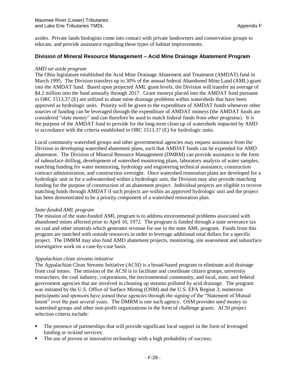asides. Private lands biologists come into contact with private landowners and conservation groups to educate, and provide assistance regarding these types of habitat improvements.

### **Division of Mineral Resource Management – Acid Mine Drainage Abatement Program**

#### *AMD set aside program*

The Ohio legislature established the Acid Mine Drainage Abatement and Treatment (AMDAT) fund in March 1995. The Division transfers up to 30% of the annual federal Abandoned Mine Land (AML) grant into the AMDAT fund. Based upon projected AML grant levels, the Division will transfer an average of \$4.2 million into the fund annually through 2017. Grant moneys placed into the AMDAT fund pursuant to ORC 1513.37 (E) are utilized to abate mine drainage problems within watersheds that have been approved as hydrologic units. Priority will be given to the expenditure of AMDAT funds whenever other sources of funding can be leveraged through the expenditure of AMDAT moneys (the AMDAT funds are considered "state money" and can therefore be used to match federal funds from other programs). It is the purpose of the AMDAT fund to provide for the long-term clean up of watersheds impacted by AMD in accordance with the criteria established in ORC 1513.37 (E) for hydrologic units.

Local community watershed groups and other governmental agencies may request assistance from the Division in developing watershed abatement plans, such that AMDAT funds can be expended for AMD abatement. The Division of Mineral Resource Management (DMRM) can provide assistance in the form of subsurface drilling, development of watershed monitoring plans, laboratory analysis of water samples, matching funding for water monitoring, hydrology and engineering technical assistance, construction contract administration, and construction oversight. Once watershed restoration plans are developed for a hydrologic unit or for a subwatershed within a hydrologic unit, the Division may also provide matching funding for the purpose of construction of an abatement project. Individual projects are eligible to receive matching funds through AMDAT if such projects are within an approved hydrologic unit and the project has been demonstrated to be a priority component of a watershed restoration plan.

#### *State-funded AML program*

The mission of the state-funded AML program is to address environmental problems associated with abandoned mines affected prior to April 10, 1972. The program is funded through a state severance tax on coal and other minerals which generates revenue for use in the state AML program. Funds from this program are matched with outside resources in order to leverage additional total dollars for a specific project. The DMRM may also fund AMD abatement projects, monitoring, site assessment and subsurface investigative work on a case-by-case basis.

### *Appalachian clean streams initiative*

The Appalachian Clean Streams Initiative (ACSI) is a broad-based program to eliminate acid drainage from coal mines. The mission of the ACSI is to facilitate and coordinate citizen groups, university researchers, the coal industry, corporations, the environmental community, and local, state, and federal government agencies that are involved in cleaning up streams polluted by acid drainage. The program was initiated by the U.S. Office of Surface Mining (OSM) and the U.S. EPA Region 3; numerous participants and sponsors have joined these agencies through the signing of the "Statement of Mutual Intent" over the past several years. The DMRM is one such agency. OSM provides seed money to watershed groups and other non-profit organizations in the form of challenge grants. ACSI project selection criteria include:

- The presence of partnerships that will provide significant local support in the form of leveraged funding or in-kind services;
- The use of proven or innovative technology with a high probability of success;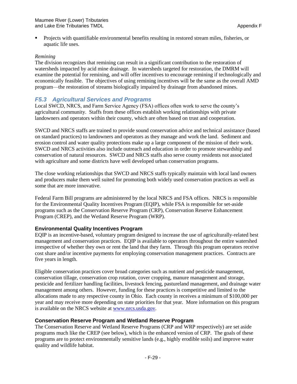Projects with quantifiable environmental benefits resulting in restored stream miles, fisheries, or aquatic life uses.

### *Remining*

The division recognizes that remining can result in a significant contribution to the restoration of watersheds impacted by acid mine drainage. In watersheds targeted for restoration, the DMRM will examine the potential for remining, and will offer incentives to encourage remining if technologically and economically feasible. The objectives of using remining incentives will be the same as the overall AMD program—the restoration of streams biologically impaired by drainage from abandoned mines.

# <span id="page-28-0"></span>*F5.3 Agricultural Services and Programs*

Local SWCD, NRCS, and Farm Service Agency (FSA) offices often work to serve the county's agricultural community. Staffs from these offices establish working relationships with private landowners and operators within their county, which are often based on trust and cooperation.

SWCD and NRCS staffs are trained to provide sound conservation advice and technical assistance (based on standard practices) to landowners and operators as they manage and work the land. Sediment and erosion control and water quality protections make up a large component of the mission of their work. SWCD and NRCS activities also include outreach and education in order to promote stewardship and conservation of natural resources. SWCD and NRCS staffs also serve county residents not associated with agriculture and some districts have well developed urban conservation programs.

The close working relationships that SWCD and NRCS staffs typically maintain with local land owners and producers make them well suited for promoting both widely used conservation practices as well as some that are more innovative.

Federal Farm Bill programs are administered by the local NRCS and FSA offices. NRCS is responsible for the Environmental Quality Incentives Program (EQIP), while FSA is responsible for set-aside programs such as the Conservation Reserve Program (CRP), Conservation Reserve Enhancement Program (CREP), and the Wetland Reserve Program (WRP).

## **Environmental Quality Incentives Program**

EQIP is an incentive-based, voluntary program designed to increase the use of agriculturally-related best management and conservation practices. EQIP is available to operators throughout the entire watershed irrespective of whether they own or rent the land that they farm. Through this program operators receive cost share and/or incentive payments for employing conservation management practices. Contracts are five years in length.

Eligible conservation practices cover broad categories such as nutrient and pesticide management, conservation tillage, conservation crop rotation, cover cropping, manure management and storage, pesticide and fertilizer handling facilities, livestock fencing, pastureland management, and drainage water management among others. However, funding for these practices is competitive and limited to the allocations made to any respective county in Ohio. Each county in receives a minimum of \$100,000 per year and may receive more depending on state priorities for that year. More information on this program is available on the NRCS website at [www.nrcs.usda.gov.](http://www.nrcs.usda.gov/)

### **Conservation Reserve Program and Wetland Reserve Program**

The Conservation Reserve and Wetland Reserve Programs (CRP and WRP respectively) are set aside programs much like the CREP (see below), which is the enhanced version of CRP. The goals of these programs are to protect environmentally sensitive lands (e.g., highly erodible soils) and improve water quality and wildlife habitat.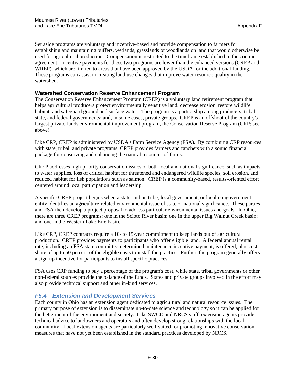Set aside programs are voluntary and incentive-based and provide compensation to farmers for establishing and maintaining buffers, wetlands, grasslands or woodlands on land that would otherwise be used for agricultural production. Compensation is restricted to the timeframe established in the contract agreement. Incentive payments for these two programs are lower than the enhanced versions (CREP and WREP), which are limited to areas that have been approved by the USDA for the additional funding. These programs can assist in creating land use changes that improve water resource quality in the watershed.

## **Watershed Conservation Reserve Enhancement Program**

The Conservation Reserve Enhancement Program (CREP) is a voluntary land retirement program that helps agricultural producers protect environmentally sensitive land, decrease erosion, restore wildlife habitat, and safeguard ground and surface water. The program is a partnership among producers; tribal, state, and federal governments; and, in some cases, private groups. CREP is an offshoot of the country's largest private-lands environmental improvement program, the Conservation Reserve Program (CRP; see above).

Like CRP, CREP is administered by USDA's Farm Service Agency (FSA). By combining CRP resources with state, tribal, and private programs, CREP provides farmers and ranchers with a sound financial package for conserving and enhancing the natural resources of farms.

CREP addresses high-priority conservation issues of both local and national significance, such as impacts to water supplies, loss of critical habitat for threatened and endangered wildlife species, soil erosion, and reduced habitat for fish populations such as salmon. CREP is a community-based, results-oriented effort centered around local participation and leadership.

A specific CREP project begins when a state, Indian tribe, local government, or local nongovernment entity identifies an agriculture-related environmental issue of state or national significance. These parties and FSA then develop a project proposal to address particular environmental issues and goals. In Ohio, there are three CREP programs: one in the Scioto River basin; one in the upper Big Walnut Creek basin; and one in the Western Lake Erie basin.

Like CRP, CREP contracts require a 10- to 15-year commitment to keep lands out of agricultural production. CREP provides payments to participants who offer eligible land. A federal annual rental rate, including an FSA state committee-determined maintenance incentive payment, is offered, plus costshare of up to 50 percent of the eligible costs to install the practice. Further, the program generally offers a sign-up incentive for participants to install specific practices.

FSA uses CRP funding to pay a percentage of the program's cost, while state, tribal governments or other non-federal sources provide the balance of the funds. States and private groups involved in the effort may also provide technical support and other in-kind services.

## <span id="page-29-0"></span>*F5.4 Extension and Development Services*

Each county in Ohio has an extension agent dedicated to agricultural and natural resource issues. The primary purpose of extension is to disseminate up-to-date science and technology so it can be applied for the betterment of the environment and society. Like SWCD and NRCS staff, extension agents provide technical advice to landowners and operators and often develop strong relationships with the local community. Local extension agents are particularly well-suited for promoting innovative conservation measures that have not yet been established in the standard practices developed by NRCS.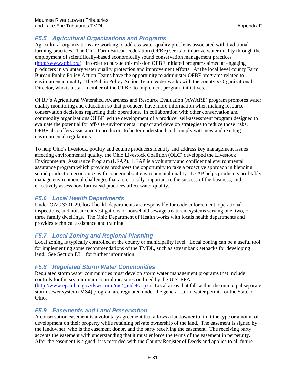# <span id="page-30-0"></span>*F5.5 Agricultural Organizations and Programs*

Agricultural organizations are working to address water quality problems associated with traditional farming practices. The Ohio Farm Bureau Federation (OFBF) seeks to improve water quality through the employment of scientifically-based economically sound conservation management practices [\(http://www.ofbf.org\)](http://www.ofbf.org/). In order to pursue this mission OFBF initiated programs aimed at engaging producers in voluntary water quality protection and improvement efforts. At the local level county Farm Bureau Public Policy Action Teams have the opportunity to administer OFBF programs related to environmental quality. The Public Policy Action Team leader works with the county's Organizational Director, who is a staff member of the OFBF, to implement program initiatives.

OFBF's Agricultural Watershed Awareness and Resource Evaluation (AWARE) program promotes water quality monitoring and education so that producers have more information when making resource conservation decisions regarding their operations. In collaboration with other conservation and commodity organizations OFBF led the development of a producer self-assessment program designed to evaluate the potential for off-site environmental impact and develop strategies to reduce those risks. OFBF also offers assistance to producers to better understand and comply with new and existing environmental regulations.

To help Ohio's livestock, poultry and equine producers identify and address key management issues affecting environmental quality, the Ohio Livestock Coalition (OLC) developed the Livestock Environmental Assurance Program (LEAP). LEAP is a voluntary and confidential environmental assurance program which provides producers the opportunity to take a proactive approach in blending sound production economics with concern about environmental quality. LEAP helps producers profitably manage environmental challenges that are critically important to the success of the business, and effectively assess how farmstead practices affect water quality.

# <span id="page-30-1"></span>*F5.6 Local Health Departments*

Under OAC 3701-29, local health departments are responsible for code enforcement, operational inspections, and nuisance investigations of household sewage treatment systems serving one, two, or three family dwellings. The Ohio Department of Health works with locals health departments and provides technical assistance and training.

# <span id="page-30-2"></span>*F5.7 Local Zoning and Regional Planning*

Local zoning is typically controlled at the county or municipality level. Local zoning can be a useful tool for implementing some recommendations of the TMDL, such as streambank setbacks for developing land. See Section E3.1 for further information.

# <span id="page-30-3"></span>*F5.8 Regulated Storm Water Communities*

Regulated storm water communities must develop storm water management programs that include controls for the six minimum control measures outlined by the U.S. EPA

[\(http://www.epa.ohio.gov/dsw/storm/ms4\\_indeEaspx\)](http://www.epa.ohio.gov/dsw/storm/ms4_index.aspx). Local areas that fall within the municipal separate storm sewer system (MS4) program are regulated under the general storm water permit for the State of Ohio.

# <span id="page-30-4"></span>*F5.9 Easements and Land Preservation*

A conservation easement is a voluntary agreement that allows a landowner to limit the type or amount of development on their property while retaining private ownership of the land. The easement is signed by the landowner, who is the easement donor, and the party receiving the easement. The receiving party accepts the easement with understanding that it must enforce the terms of the easement in perpetuity. After the easement is signed, it is recorded with the County Register of Deeds and applies to all future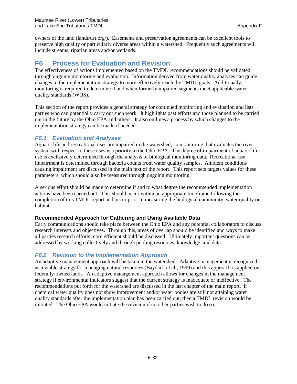owners of the land (landtrust.org/). Easements and preservation agreements can be excellent tools to preserve high quality or particularly diverse areas within a watershed. Frequently such agreements will include streams, riparian areas and/or wetlands.

# <span id="page-31-0"></span>**F6 Process for Evaluation and Revision**

The effectiveness of actions implemented based on the TMDL recommendations should be validated through ongoing monitoring and evaluation. Information derived from water quality analyses can guide changes to the implementation strategy to more effectively reach the TMDL goals. Additionally, monitoring is required to determine if and when formerly impaired segments meet applicable water quality standards (WQS).

This section of the report provides a general strategy for continued monitoring and evaluation and lists parties who can potentially carry out such work. It highlights past efforts and those planned to be carried out in the future by the Ohio EPA and others. It also outlines a process by which changes to the implementation strategy can be made if needed.

# <span id="page-31-1"></span>*F6.1 Evaluation and Analyses*

Aquatic life and recreational uses are impaired in the watershed, so monitoring that evaluates the river system with respect to these uses is a priority to the Ohio EPA. The degree of impairment of aquatic life use is exclusively determined through the analysis of biological monitoring data. Recreational use impairment is determined through bacteria counts from water quality samples. Ambient conditions causing impairment are discussed in the main text of the report. This report sets targets values for these parameters, which should also be measured through ongoing monitoring.

A serious effort should be made to determine if and to what degree the recommended implementation actions have been carried out. This should occur within an appropriate timeframe following the completion of this TMDL report and occur prior to measuring the biological community, water quality or habitat.

## **Recommended Approach for Gathering and Using Available Data**

Early communications should take place between the Ohio EPA and any potential collaborators to discuss research interests and objectives. Through this, areas of overlap should be identified and ways to make all parties research efforts more efficient should be discussed. Ultimately important questions can be addressed by working collectively and through pooling resources, knowledge, and data.

# <span id="page-31-2"></span>*F6.2 Revision to the Implementation Approach*

An adaptive management approach will be taken in the watershed. Adaptive management is recognized as a viable strategy for managing natural resources (Baydack et al., 1999) and this approach is applied on federally-owned lands. An adaptive management approach allows for changes in the management strategy if environmental indicators suggest that the current strategy is inadequate or ineffective. The recommendations put forth for the watershed are discussed in the last chapter of the main report. If chemical water quality does not show improvement and/or water bodies are still not attaining water quality standards after the implementation plan has been carried out, then a TMDL revision would be initiated. The Ohio EPA would initiate the revision if no other parties wish to do so.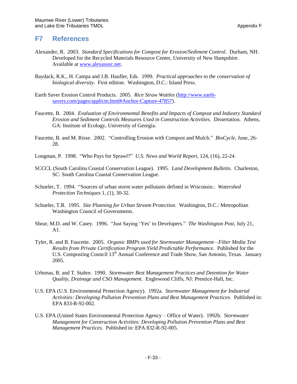# <span id="page-32-0"></span>**F7 References**

- Alexander, R. 2003. *Standard Specifications for Compost for Erosion/Sediment Control*. Durham, NH: Developed for the Recycled Materials Resource Center, University of New Hampshire. Available at [www.alexassoc.net.](http://www.alexassoc.net/)
- Baydack, R.K., H. Campa and J.B. Haufler, Eds. 1999. *Practical approaches to the conservation of biological diversity*. First edition. Washington, D.C.: Island Press.
- Earth Saver Erosion Control Products. 2005. *Rice Straw Wattles* [\(http://www.earth](http://www.earth-savers.com/pages/applictn.html#Anchor-Capture-47857)[savers.com/pages/applictn.html#Anchor-Capture-47857\)](http://www.earth-savers.com/pages/applictn.html#Anchor-Capture-47857).
- Faucette, B. 2004. *Evaluation of Environmental Benefits and Impacts of Compost and Industry Standard Erosion and Sediment Controls Measures Used in Construction Activities*. Dissertation. Athens, GA: Institute of Ecology, University of Georgia.
- Faucette, B. and M. Risse. 2002. "Controlling Erosion with Compost and Mulch." *BioCycle,* June, 26- 28.
- Longman, P. 1998. "Who Pays for Sprawl?" *U.S. News and World Report,* 124, (16), 22-24.
- SCCCL (South Carolina Coastal Conservation League). 1995. *Land Development Bulletin*. Charleston, SC: South Carolina Coastal Conservation League.
- Schueler, T. 1994. "Sources of urban storm water pollutants defined in Wisconsin.: *Watershed Protection Techniques* 1, (1), 30-32.
- Schueler, T.R. 1995. *Site Planning for Urban Stream Protection*. Washington, D.C.: Metropolitan Washington Council of Governments.
- Shear, M.D. and W. Casey. 1996. "Just Saying 'Yes' to Developers." *The Washington Post*, July 21, A1.
- Tyler, R. and B. Faucette. 2005. *Organic BMPs used for Stormwater Management—Filter Media Test Results from Private Certification Program Yield Predictable Performance*. Published for the U.S. Composting Council 13<sup>th</sup> Annual Conference and Trade Show, San Antonio, Texas. January 2005.
- Urbonas, B. and T. Stahre. 1990. *Stormwater Best Management Practices and Detention for Water Quality, Drainage and CSO Management*. Englewood Cliffs, NJ: Prentice-Hall, Inc.
- U.S. EPA (U.S. Environmental Protection Agency). 1992a. *Stormwater Management for Industrial Activities: Developing Pollution Prevention Plans and Best Management Practices*. Published in: EPA 833-R-92-002.
- U.S. EPA (United States Environmental Protection Agency Office of Water). 1992b. *Stormwater Management for Construction Activities: Developing Pollution Prevention Plans and Best Management Practices*. Published in: EPA 832-R-92-005.